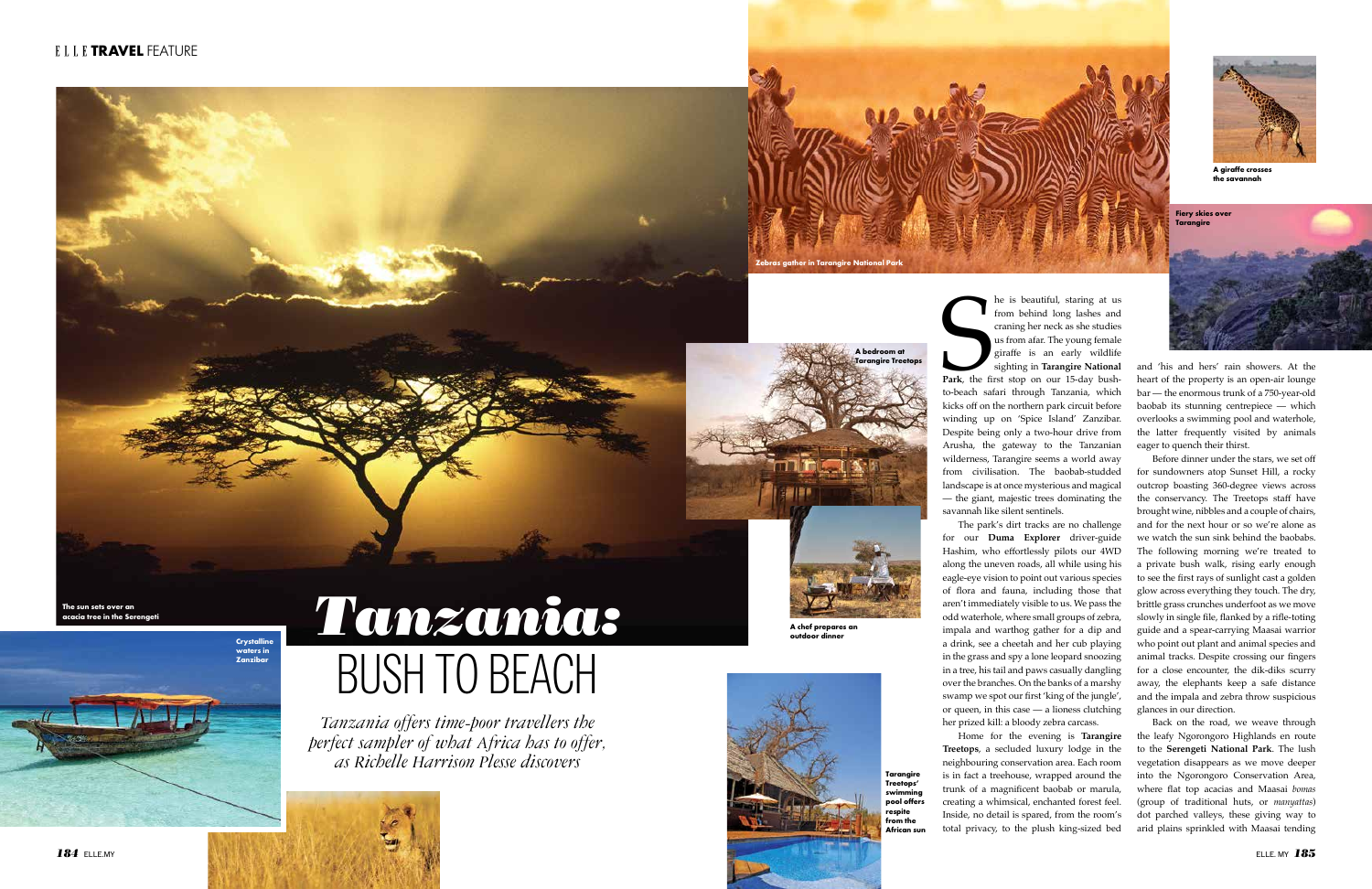



## **Crystalline Tanzania Crystalline Crystalline Crystalline Crystalline Crystalline Crystalline Crystalline Crystalline Crystalline Crystalline Crystalline Crystalline Crystalline Conduction** BUSH TO BEACH

*Tanzania offers time-poor travellers the perfect sampler of what Africa has to offer, as Richelle Harrison Plesse discovers*

The is beautiful, staring at us<br>from behind long lashes and<br>craning her neck as she studies<br>us from afar. The young female<br>giraffe is an early wildlife<br>sighting in Tarangire National<br>Park, the first stop on our 15-day bush he is beautiful, staring at us from behind long lashes and craning her neck as she studies us from afar. The young female giraffe is an early wildlife sighting in **Tarangire National Park**, the first stop on our 15-day bushkicks off on the northern park circuit before winding up on 'Spice Island' Zanzibar. Despite being only a two-hour drive from Arusha, the gateway to the Tanzanian wilderness, Tarangire seems a world away from civilisation. The baobab-studded landscape is at once mysterious and magical — the giant, majestic trees dominating the savannah like silent sentinels.

The park's dirt tracks are no challenge for our **Duma Explorer** driver-guide Hashim, who effortlessly pilots our 4WD along the uneven roads, all while using his eagle-eye vision to point out various species of flora and fauna, including those that aren't immediately visible to us. We pass the odd waterhole, where small groups of zebra, impala and warthog gather for a dip and a drink, see a cheetah and her cub playing in the grass and spy a lone leopard snoozing in a tree, his tail and paws casually dangling over the branches. On the banks of a marshy swamp we spot our first 'king of the jungle', or queen, in this case — a lioness clutching her prized kill: a bloody zebra carcass.

Home for the evening is **Tarangire Treetops**, a secluded luxury lodge in the neighbouring conservation area. Each room is in fact a treehouse, wrapped around the trunk of a magnificent baobab or marula, creating a whimsical, enchanted forest feel. Inside, no detail is spared, from the room's total privacy, to the plush king-sized bed

**Fiery skies over Tarangire**

and 'his and hers' rain showers. At the heart of the property is an open-air lounge bar — the enormous trunk of a 750-year-old baobab its stunning centrepiece — which overlooks a swimming pool and waterhole, the latter frequently visited by animals eager to quench their thirst.

Before dinner under the stars, we set off for sundowners atop Sunset Hill, a rocky outcrop boasting 360-degree views across the conservancy. The Treetops staff have brought wine, nibbles and a couple of chairs, and for the next hour or so we're alone as we watch the sun sink behind the baobabs. The following morning we're treated to a private bush walk, rising early enough to see the first rays of sunlight cast a golden glow across everything they touch. The dry, brittle grass crunches underfoot as we move slowly in single file, flanked by a rifle-toting guide and a spear-carrying Maasai warrior who point out plant and animal species and animal tracks. Despite crossing our fingers for a close encounter, the dik-diks scurry away, the elephants keep a safe distance and the impala and zebra throw suspicious glances in our direction.

Back on the road, we weave through the leafy Ngorongoro Highlands en route to the **Serengeti National Park**. The lush vegetation disappears as we move deeper into the Ngorongoro Conservation Area, where flat top acacias and Maasai *bomas*  (group of traditional huts, or *manyattas*) dot parched valleys, these giving way to arid plains sprinkled with Maasai tending



**A bedroom at Tarangire Treetops**

**The sun sets over an acacia tree in the Serengeti**

**A chef prepares an** 



**Tarangire Treetops' swimming pool offers respite from the African sun**



**A giraffe crosses the savannah**